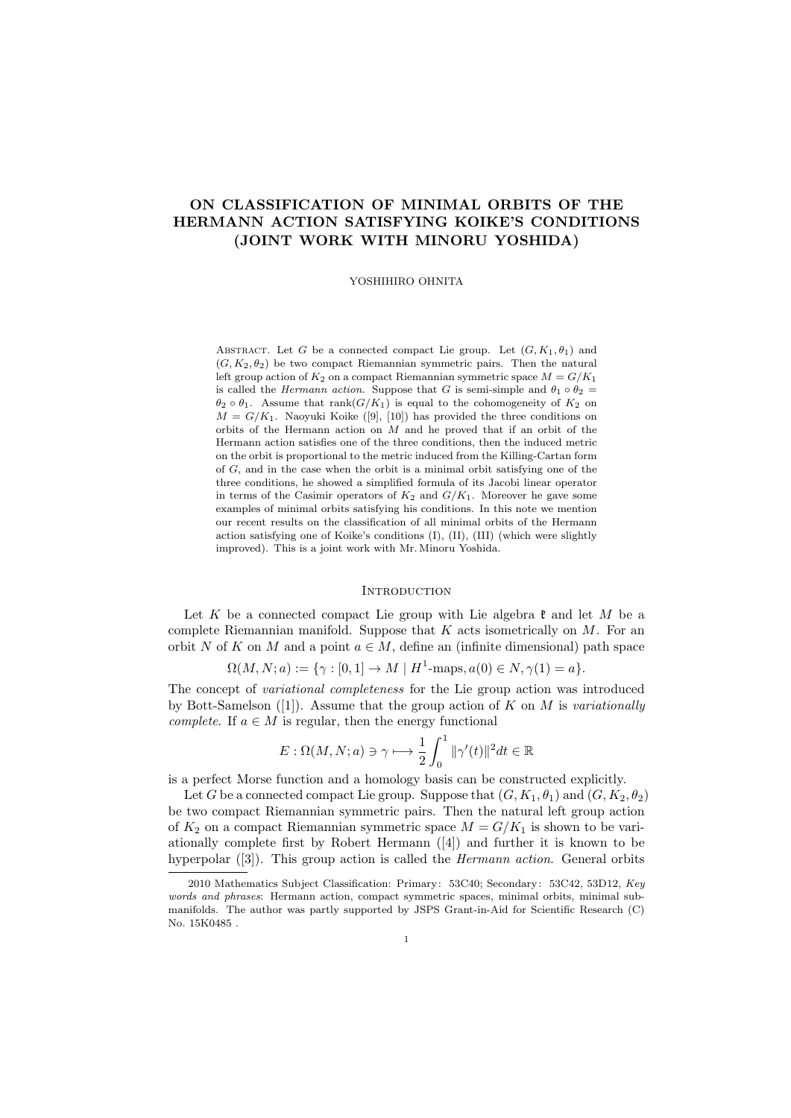# **ON CLASSIFICATION OF MINIMAL ORBITS OF THE HERMANN ACTION SATISFYING KOIKE'S CONDITIONS (JOINT WORK WITH MINORU YOSHIDA)**

#### YOSHIHIRO OHNITA

ABSTRACT. Let *G* be a connected compact Lie group. Let  $(G, K_1, \theta_1)$  and  $(G, K_2, \theta_2)$  be two compact Riemannian symmetric pairs. Then the natural left group action of  $K_2$  on a compact Riemannian symmetric space  $M = G/K_1$ is called the *Hermann action*. Suppose that *G* is semi-simple and  $\theta_1 \circ \theta_2 =$  $\theta_2 \circ \theta_1$ . Assume that rank( $G/K_1$ ) is equal to the cohomogeneity of  $K_2$  on  $M = G/K_1$ . Naoyuki Koike ([9], [10]) has provided the three conditions on orbits of the Hermann action on *M* and he proved that if an orbit of the Hermann action satisfies one of the three conditions, then the induced metric on the orbit is proportional to the metric induced from the Killing-Cartan form of *G*, and in the case when the orbit is a minimal orbit satisfying one of the three conditions, he showed a simplified formula of its Jacobi linear operator in terms of the Casimir operators of  $K_2$  and  $G/K_1$ . Moreover he gave some examples of minimal orbits satisfying his conditions. In this note we mention our recent results on the classification of all minimal orbits of the Hermann action satisfying one of Koike's conditions (I), (II), (III) (which were slightly improved). This is a joint work with Mr. Minoru Yoshida.

#### **INTRODUCTION**

Let *K* be a connected compact Lie group with Lie algebra  $\mathfrak{k}$  and let *M* be a complete Riemannian manifold. Suppose that *K* acts isometrically on *M*. For an orbit *N* of *K* on *M* and a point  $a \in M$ , define an (infinite dimensional) path space

$$
\Omega(M, N; a) := \{ \gamma : [0, 1] \to M \mid H^1 \text{-maps}, a(0) \in N, \gamma(1) = a \}.
$$

The concept of *variational completeness* for the Lie group action was introduced by Bott-Samelson ([1]). Assume that the group action of *K* on *M* is *variationally complete.* If  $a \in M$  is regular, then the energy functional

$$
E: \Omega(M, N; a) \ni \gamma \longmapsto \frac{1}{2} \int_0^1 \|\gamma'(t)\|^2 dt \in \mathbb{R}
$$

is a perfect Morse function and a homology basis can be constructed explicitly.

Let *G* be a connected compact Lie group. Suppose that  $(G, K_1, \theta_1)$  and  $(G, K_2, \theta_2)$ be two compact Riemannian symmetric pairs. Then the natural left group action of  $K_2$  on a compact Riemannian symmetric space  $M = G/K_1$  is shown to be variationally complete first by Robert Hermann ([4]) and further it is known to be hyperpolar ([3]). This group action is called the *Hermann action*. General orbits

<sup>2010</sup> Mathematics Subject Classification: Primary: 53C40; Secondary: 53C42, 53D12, *Key words and phrases*: Hermann action, compact symmetric spaces, minimal orbits, minimal submanifolds. The author was partly supported by JSPS Grant-in-Aid for Scientific Research (C) No. 15K0485 .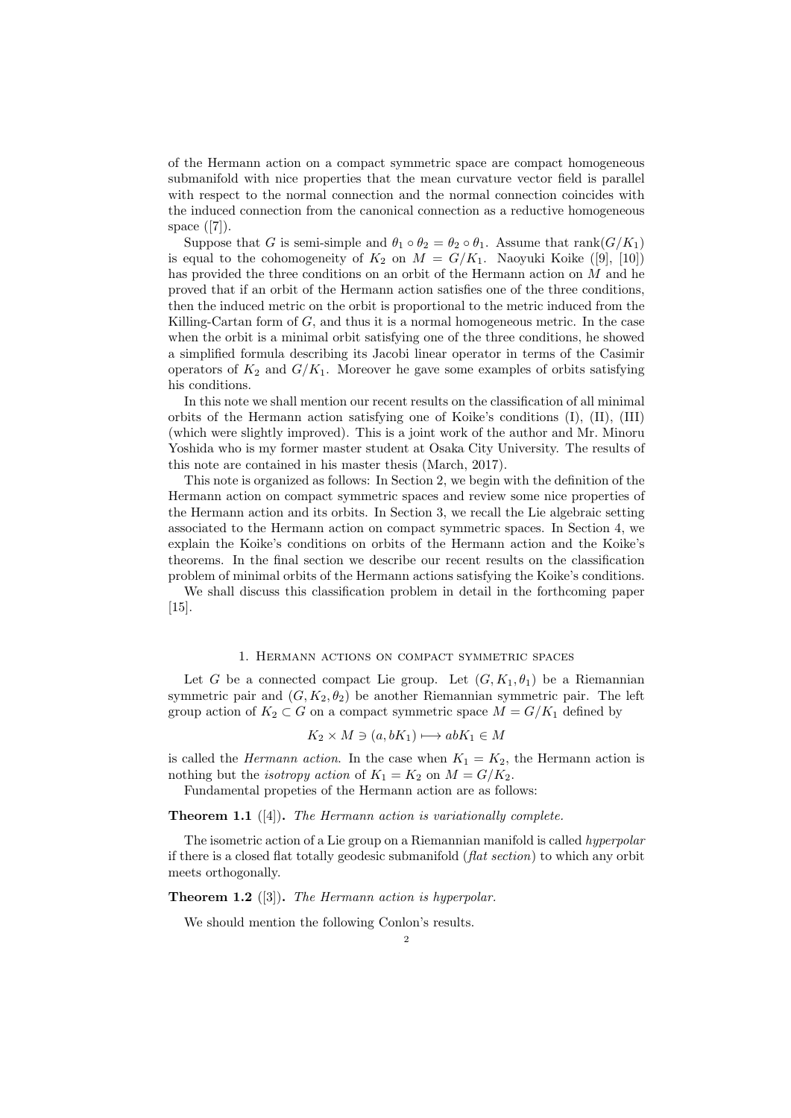of the Hermann action on a compact symmetric space are compact homogeneous submanifold with nice properties that the mean curvature vector field is parallel with respect to the normal connection and the normal connection coincides with the induced connection from the canonical connection as a reductive homogeneous space ([7]).

Suppose that *G* is semi-simple and  $\theta_1 \circ \theta_2 = \theta_2 \circ \theta_1$ . Assume that rank $(G/K_1)$ is equal to the cohomogeneity of  $K_2$  on  $M = G/K_1$ . Naoyuki Koike ([9], [10]) has provided the three conditions on an orbit of the Hermann action on *M* and he proved that if an orbit of the Hermann action satisfies one of the three conditions, then the induced metric on the orbit is proportional to the metric induced from the Killing-Cartan form of *G*, and thus it is a normal homogeneous metric. In the case when the orbit is a minimal orbit satisfying one of the three conditions, he showed a simplified formula describing its Jacobi linear operator in terms of the Casimir operators of  $K_2$  and  $G/K_1$ . Moreover he gave some examples of orbits satisfying his conditions.

In this note we shall mention our recent results on the classification of all minimal orbits of the Hermann action satisfying one of Koike's conditions (I), (II), (III) (which were slightly improved). This is a joint work of the author and Mr. Minoru Yoshida who is my former master student at Osaka City University. The results of this note are contained in his master thesis (March, 2017).

This note is organized as follows: In Section 2, we begin with the definition of the Hermann action on compact symmetric spaces and review some nice properties of the Hermann action and its orbits. In Section 3, we recall the Lie algebraic setting associated to the Hermann action on compact symmetric spaces. In Section 4, we explain the Koike's conditions on orbits of the Hermann action and the Koike's theorems. In the final section we describe our recent results on the classification problem of minimal orbits of the Hermann actions satisfying the Koike's conditions.

We shall discuss this classification problem in detail in the forthcoming paper [15].

### 1. Hermann actions on compact symmetric spaces

Let *G* be a connected compact Lie group. Let  $(G, K_1, \theta_1)$  be a Riemannian symmetric pair and  $(G, K_2, \theta_2)$  be another Riemannian symmetric pair. The left group action of  $K_2 \subset G$  on a compact symmetric space  $M = G/K_1$  defined by

$$
K_2 \times M \ni (a, bK_1) \longmapsto abK_1 \in M
$$

is called the *Hermann action*. In the case when  $K_1 = K_2$ , the Hermann action is nothing but the *isotropy action* of  $K_1 = K_2$  on  $M = G/K_2$ .

Fundamental propeties of the Hermann action are as follows:

**Theorem 1.1** ([4])**.** *The Hermann action is variationally complete.*

The isometric action of a Lie group on a Riemannian manifold is called *hyperpolar* if there is a closed flat totally geodesic submanifold (*flat section*) to which any orbit meets orthogonally.

**Theorem 1.2** ([3])**.** *The Hermann action is hyperpolar.*

We should mention the following Conlon's results.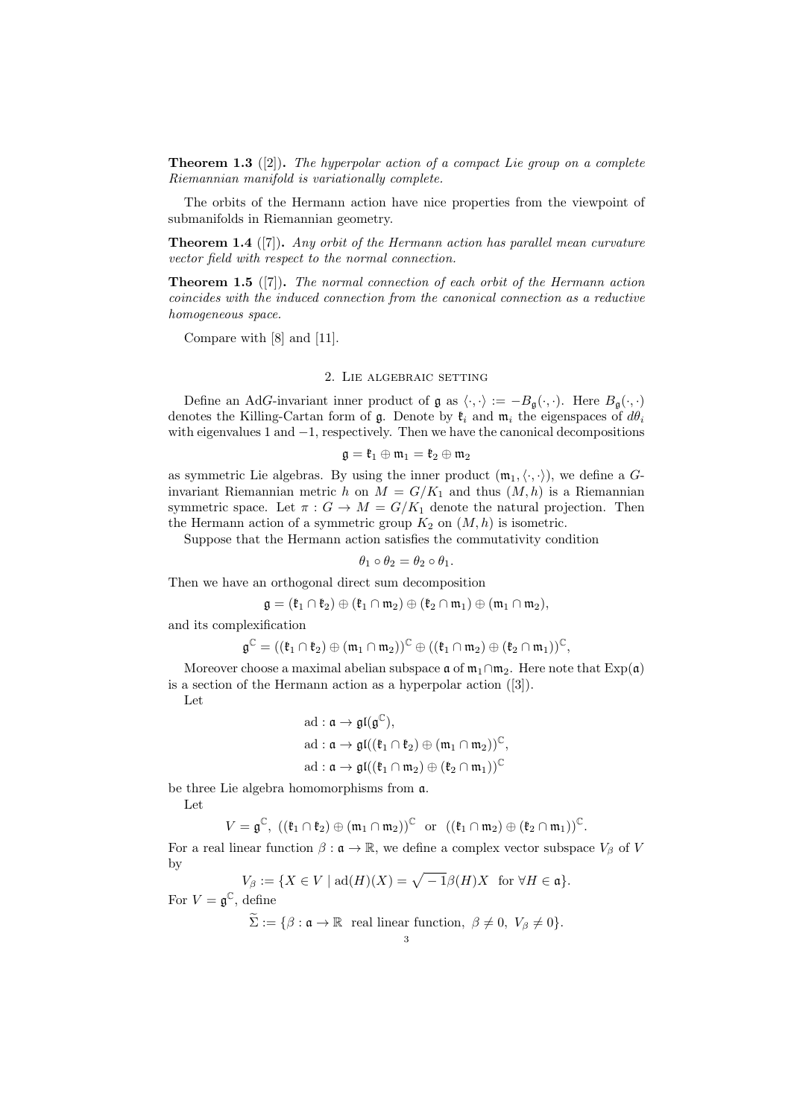**Theorem 1.3** ([2])**.** *The hyperpolar action of a compact Lie group on a complete Riemannian manifold is variationally complete.*

The orbits of the Hermann action have nice properties from the viewpoint of submanifolds in Riemannian geometry.

**Theorem 1.4** ([7])**.** *Any orbit of the Hermann action has parallel mean curvature vector field with respect to the normal connection.*

**Theorem 1.5** ([7])**.** *The normal connection of each orbit of the Hermann action coincides with the induced connection from the canonical connection as a reductive homogeneous space.*

Compare with [8] and [11].

### 2. Lie algebraic setting

Define an AdG-invariant inner product of g as  $\langle \cdot, \cdot \rangle := -B_{\mathfrak{q}}(\cdot, \cdot)$ . Here  $B_{\mathfrak{q}}(\cdot, \cdot)$ denotes the Killing-Cartan form of  $\mathfrak{g}$ . Denote by  $\mathfrak{k}_i$  and  $\mathfrak{m}_i$  the eigenspaces of  $d\theta_i$ with eigenvalues 1 and *−*1, respectively. Then we have the canonical decompositions

$$
\mathfrak{g}=\mathfrak{k}_1\oplus\mathfrak{m}_1=\mathfrak{k}_2\oplus\mathfrak{m}_2
$$

as symmetric Lie algebras. By using the inner product  $(\mathfrak{m}_1, \langle \cdot, \cdot \rangle)$ , we define a *G*invariant Riemannian metric *h* on  $M = G/K_1$  and thus  $(M, h)$  is a Riemannian symmetric space. Let  $\pi$  :  $G \to M = G/K_1$  denote the natural projection. Then the Hermann action of a symmetric group  $K_2$  on  $(M, h)$  is isometric.

Suppose that the Hermann action satisfies the commutativity condition

$$
\theta_1 \circ \theta_2 = \theta_2 \circ \theta_1.
$$

Then we have an orthogonal direct sum decomposition

$$
\mathfrak{g}=(\mathfrak{k}_1\cap\mathfrak{k}_2)\oplus(\mathfrak{k}_1\cap\mathfrak{m}_2)\oplus(\mathfrak{k}_2\cap\mathfrak{m}_1)\oplus(\mathfrak{m}_1\cap\mathfrak{m}_2),
$$

and its complexification

$$
\mathfrak{g}^{\mathbb{C}} = ((\mathfrak{k}_1 \cap \mathfrak{k}_2) \oplus (\mathfrak{m}_1 \cap \mathfrak{m}_2))^{\mathbb{C}} \oplus ((\mathfrak{k}_1 \cap \mathfrak{m}_2) \oplus (\mathfrak{k}_2 \cap \mathfrak{m}_1))^{\mathbb{C}},
$$

Moreover choose a maximal abelian subspace  $\mathfrak{a}$  of  $\mathfrak{m}_1 \cap \mathfrak{m}_2$ . Here note that  $Exp(\mathfrak{a})$ is a section of the Hermann action as a hyperpolar action  $([3])$ .

Let

$$
\begin{aligned} &\text{ad}: \mathfrak{a} \rightarrow \mathfrak{gl}(\mathfrak{g}^{\mathbb{C}}), \\ &\text{ad}: \mathfrak{a} \rightarrow \mathfrak{gl}((\mathfrak{k}_1 \cap \mathfrak{k}_2) \oplus (\mathfrak{m}_1 \cap \mathfrak{m}_2))^{\mathbb{C}}, \\ &\text{ad}: \mathfrak{a} \rightarrow \mathfrak{gl}((\mathfrak{k}_1 \cap \mathfrak{m}_2) \oplus (\mathfrak{k}_2 \cap \mathfrak{m}_1))^{\mathbb{C}} \end{aligned}
$$

be three Lie algebra homomorphisms from a.

Let

$$
V=\mathfrak{g}^{\mathbb{C}},\ ((\mathfrak{k}_{1}\cap\mathfrak{k}_{2})\oplus(\mathfrak{m}_{1}\cap\mathfrak{m}_{2}))^{\mathbb{C}}\text{ or }((\mathfrak{k}_{1}\cap\mathfrak{m}_{2})\oplus(\mathfrak{k}_{2}\cap\mathfrak{m}_{1}))^{\mathbb{C}}.
$$

For a real linear function  $\beta : \mathfrak{a} \to \mathbb{R}$ , we define a complex vector subspace  $V_{\beta}$  of *V* by

$$
V_{\beta} := \{ X \in V \mid \text{ad}(H)(X) = \sqrt{-1}\beta(H)X \text{ for } \forall H \in \mathfrak{a} \}.
$$
  
For  $V = \mathfrak{g}^{\mathbb{C}}$ , define

 $\widetilde{\Sigma} := \{ \beta : \mathfrak{a} \to \mathbb{R} \text{ real linear function, } \beta \neq 0, V_{\beta} \neq 0 \}.$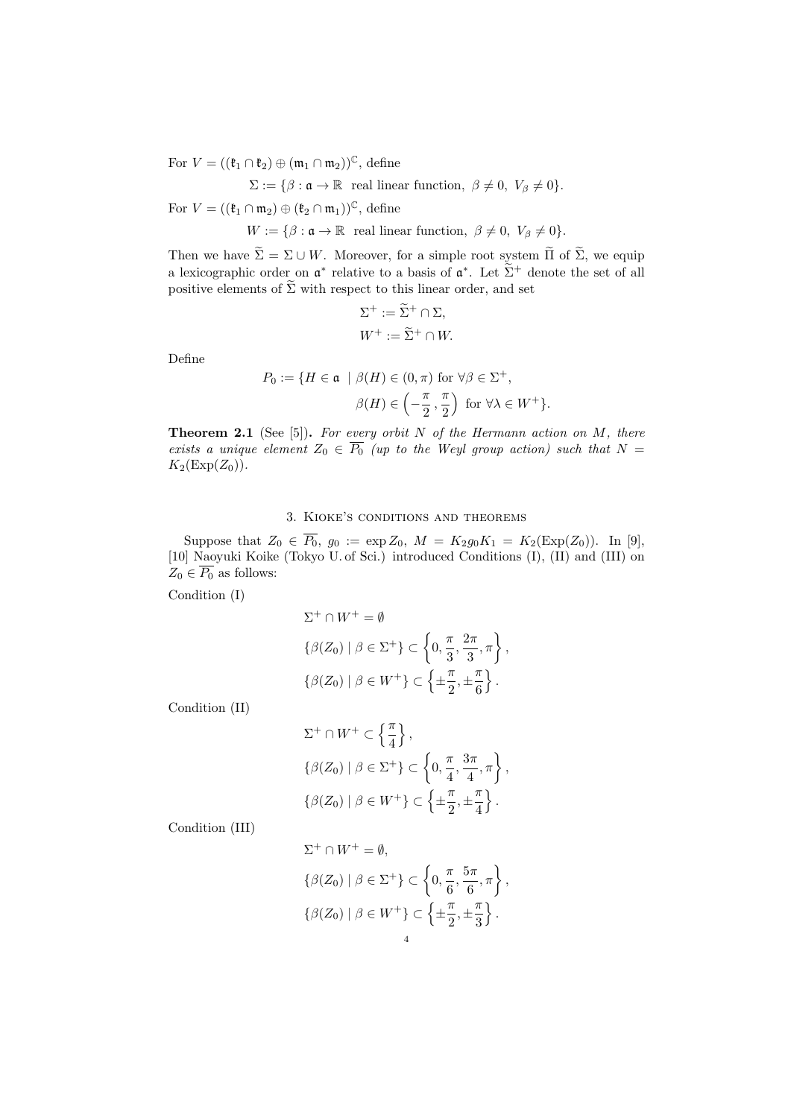For  $V = ((\mathfrak{k}_1 \cap \mathfrak{k}_2) \oplus (\mathfrak{m}_1 \cap \mathfrak{m}_2))^{\mathbb{C}}$ , define

$$
\Sigma := \{ \beta : \mathfrak{a} \to \mathbb{R} \text{ real linear function, } \beta \neq 0, V_{\beta} \neq 0 \}.
$$

For  $V = ((\mathfrak{k}_1 \cap \mathfrak{m}_2) \oplus (\mathfrak{k}_2 \cap \mathfrak{m}_1))^{\mathbb{C}}$ , define

 $W := \{\beta : \mathfrak{a} \to \mathbb{R} \text{ real linear function, } \beta \neq 0, V_{\beta} \neq 0\}.$ 

Then we have  $\widetilde{\Sigma} = \Sigma \cup W$ . Moreover, for a simple root system  $\widetilde{\Pi}$  of  $\widetilde{\Sigma}$ , we equip a lexicographic order on  $\mathfrak{a}^*$  relative to a basis of  $\mathfrak{a}^*$ . Let  $\tilde{\Sigma}^+$  denote the set of all positive elements of  $\tilde{\Sigma}$  with respect to this linear order, and set

$$
\Sigma^+ := \widetilde{\Sigma}^+ \cap \Sigma,
$$
  

$$
W^+ := \widetilde{\Sigma}^+ \cap W.
$$

Define

$$
P_0 := \{ H \in \mathfrak{a} \mid \beta(H) \in (0, \pi) \text{ for } \forall \beta \in \Sigma^+,
$$

$$
\beta(H) \in \left( -\frac{\pi}{2}, \frac{\pi}{2} \right) \text{ for } \forall \lambda \in W^+ \}.
$$

**Theorem 2.1** (See [5])**.** *For every orbit N of the Hermann action on M, there exists a unique element*  $Z_0 \n\in \overline{P_0}$  *(up to the Weyl group action) such that*  $N =$  $K_2(\text{Exp}(Z_0))$ .

## 3. Kioke's conditions and theorems

Suppose that  $Z_0 \in P_0$ ,  $g_0 := \exp Z_0$ ,  $M = K_2 g_0 K_1 = K_2(\exp(Z_0))$ . In [9], [10] Naoyuki Koike (Tokyo U. of Sci.) introduced Conditions (I), (II) and (III) on  $Z_0 \in \overline{P_0}$  as follows:

Condition (I)

$$
\Sigma^+ \cap W^+ = \emptyset
$$
  

$$
\{\beta(Z_0) \mid \beta \in \Sigma^+\} \subset \left\{0, \frac{\pi}{3}, \frac{2\pi}{3}, \pi\right\},\
$$
  

$$
\{\beta(Z_0) \mid \beta \in W^+\} \subset \left\{\pm \frac{\pi}{2}, \pm \frac{\pi}{6}\right\}.
$$

Condition (II)

$$
\Sigma^+ \cap W^+ \subset \left\{ \frac{\pi}{4} \right\},\
$$
  

$$
\{\beta(Z_0) \mid \beta \in \Sigma^+\} \subset \left\{0, \frac{\pi}{4}, \frac{3\pi}{4}, \pi\right\},\
$$
  

$$
\{\beta(Z_0) \mid \beta \in W^+\} \subset \left\{\pm \frac{\pi}{2}, \pm \frac{\pi}{4}\right\}.
$$

Condition (III)

$$
\Sigma^+ \cap W^+ = \emptyset,
$$
  

$$
\{\beta(Z_0) \mid \beta \in \Sigma^+\} \subset \left\{0, \frac{\pi}{6}, \frac{5\pi}{6}, \pi\right\},\
$$
  

$$
\{\beta(Z_0) \mid \beta \in W^+\} \subset \left\{\pm \frac{\pi}{2}, \pm \frac{\pi}{3}\right\}.
$$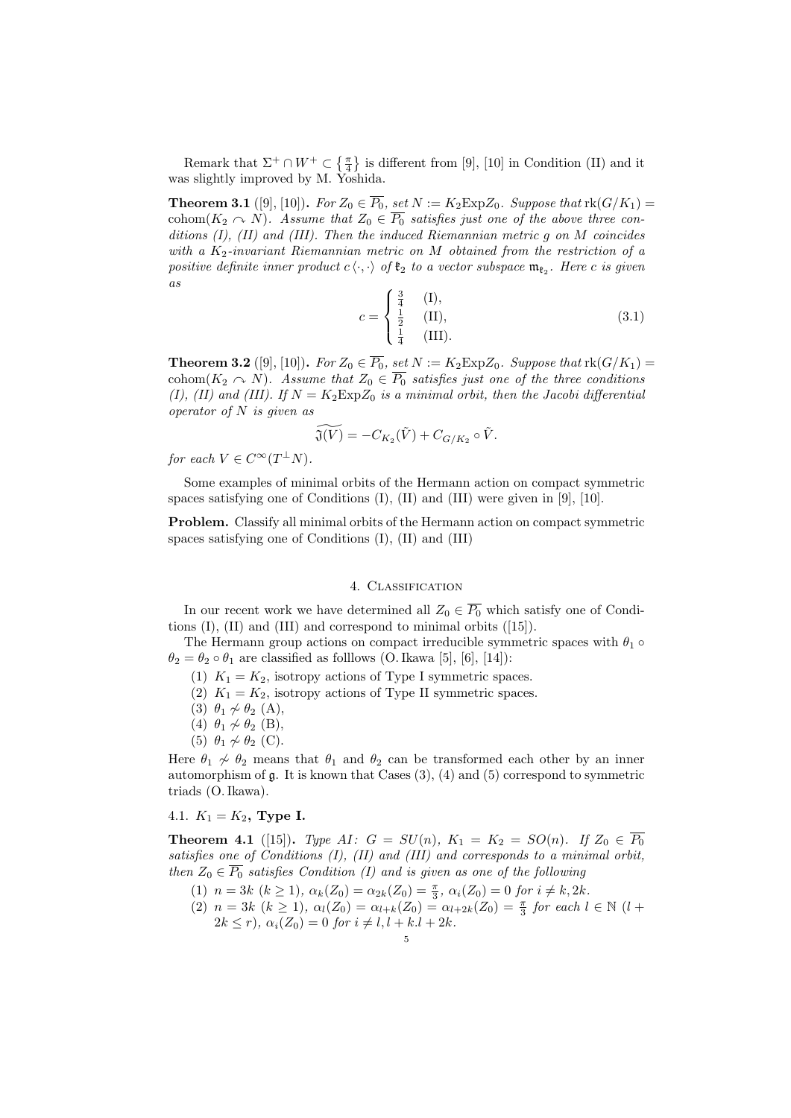Remark that  $\Sigma^+ \cap W^+ \subset \{\frac{\pi}{4}\}\$ is different from [9], [10] in Condition (II) and it was slightly improved by M. Yoshida.

**Theorem 3.1** ([9], [10]). For  $Z_0 \in \overline{P_0}$ , set  $N := K_2 \text{Exp} Z_0$ . Suppose that  $\text{rk}(G/K_1) =$ cohom $(K_2 \cap N)$ *. Assume that*  $Z_0 \in \overline{P_0}$  *satisfies just one of the above three conditions (I), (II) and (III). Then the induced Riemannian metric g on M coincides with a K*2*-invariant Riemannian metric on M obtained from the restriction of a positive definite inner product*  $c \langle \cdot, \cdot \rangle$  *of*  $\mathfrak{k}_2$  *to a vector subspace*  $\mathfrak{m}_{\mathfrak{k}_2}$ *. Here c is given as*

$$
c = \begin{cases} \frac{3}{4} & (\text{I}), \\ \frac{1}{2} & (\text{II}), \\ \frac{1}{4} & (\text{III}). \end{cases}
$$
 (3.1)

**Theorem 3.2** ([9], [10]). For  $Z_0 \in \overline{P_0}$ , set  $N := K_2 \text{Exp} Z_0$ . Suppose that  $\text{rk}(G/K_1) =$ cohom $(K_2 \cap N)$ . Assume that  $Z_0 \in \overline{P_0}$  satisfies just one of the three conditions *(I), (II) and (III). If*  $N = K_2 \exp Z_0$  *is a minimal orbit, then the Jacobi differential operator of N is given as*

$$
\widetilde{\mathfrak{J}(V)} = -C_{K_2}(\widetilde{V}) + C_{G/K_2} \circ \widetilde{V}.
$$

*for each*  $V \in C^{\infty}(T^{\perp}N)$ *.* 

Some examples of minimal orbits of the Hermann action on compact symmetric spaces satisfying one of Conditions (I), (II) and (III) were given in [9], [10].

**Problem.** Classify all minimal orbits of the Hermann action on compact symmetric spaces satisfying one of Conditions (I), (II) and (III)

### 4. Classification

In our recent work we have determined all  $Z_0 \n\in \overline{P_0}$  which satisfy one of Conditions (I), (II) and (III) and correspond to minimal orbits ([15]).

The Hermann group actions on compact irreducible symmetric spaces with  $\theta_1 \circ \theta_2$  $\theta_2 = \theta_2 \circ \theta_1$  are classified as folllows (O. Ikawa [5], [6], [14]):

- (1)  $K_1 = K_2$ , isotropy actions of Type I symmetric spaces.
- (2)  $K_1 = K_2$ , isotropy actions of Type II symmetric spaces.
- (3)  $\theta_1 \nsim \theta_2$  (A),
- (4)  $\theta_1 \nsim \theta_2$  (B),
- (5)  $\theta_1 \nsim \theta_2$  (C).

Here  $\theta_1 \nsim \theta_2$  means that  $\theta_1$  and  $\theta_2$  can be transformed each other by an inner automorphism of  $\mathfrak g$ . It is known that Cases  $(3)$ ,  $(4)$  and  $(5)$  correspond to symmetric triads (O. Ikawa).

## 4.1.  $K_1 = K_2$ , **Type I.**

**Theorem 4.1** ([15]). *Type AI*:  $G = SU(n)$ ,  $K_1 = K_2 = SO(n)$ . *If*  $Z_0 \in \overline{P_0}$ *satisfies one of Conditions (I), (II) and (III) and corresponds to a minimal orbit, then*  $Z_0 \in \overline{P_0}$  *satisfies Condition (I) and is given as one of the following* 

- (1)  $n = 3k$   $(k \ge 1)$ ,  $\alpha_k(Z_0) = \alpha_{2k}(Z_0) = \frac{\pi}{3}$ ,  $\alpha_i(Z_0) = 0$  for  $i \ne k, 2k$ .
- $(2)$   $n = 3k$   $(k \ge 1)$ ,  $\alpha_l(Z_0) = \alpha_{l+k}(Z_0) = \alpha_{l+2k}(Z_0) = \frac{\pi}{3}$  for each  $l \in \mathbb{N}$   $(l + 1)$  $2k \leq r$ ,  $\alpha_i(Z_0) = 0$  *for*  $i \neq l, l + k, l + 2k$ .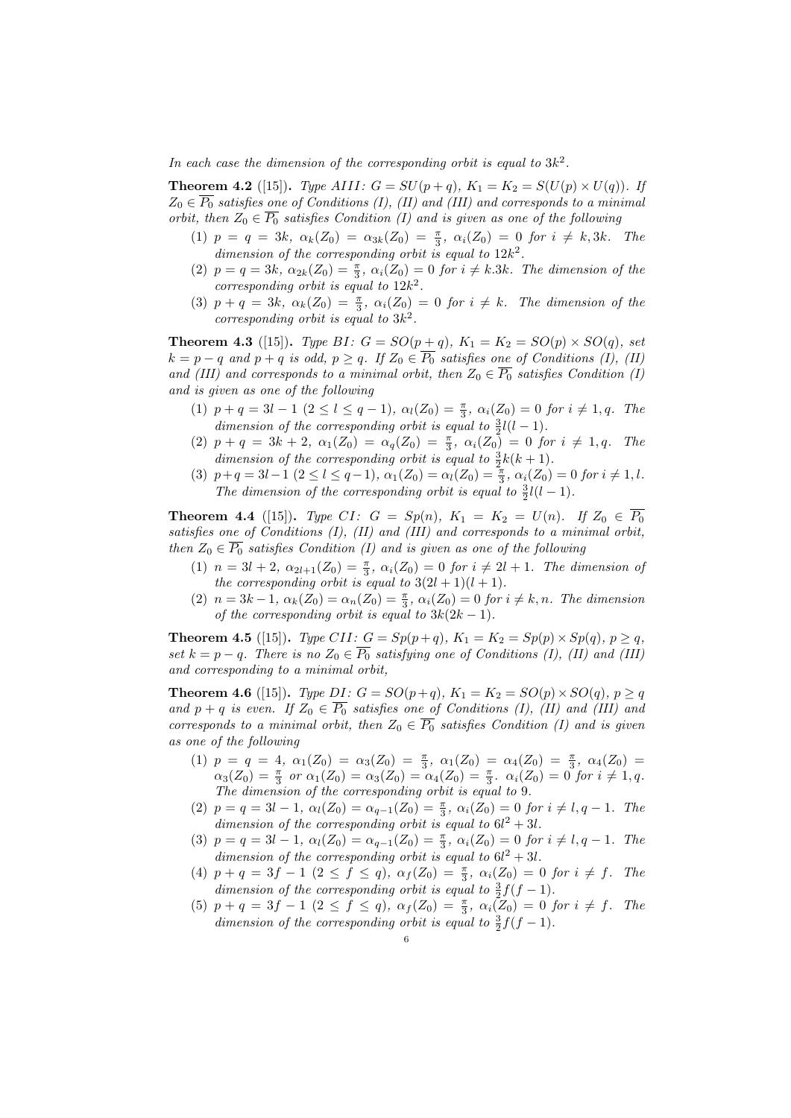In each case the dimension of the corresponding orbit is equal to  $3k^2$ .

**Theorem 4.2** ([15]). *Type AIII:*  $G = SU(p+q)$ ,  $K_1 = K_2 = S(U(p) \times U(q))$ . If  $Z_0 \in \overline{P_0}$  *satisfies one of Conditions (I), (II) and (III) and corresponds to a minimal orbit, then*  $Z_0 \in \overline{P_0}$  *satisfies Condition (I) and is given as one of the following* 

- $(1)$   $p = q = 3k$ ,  $\alpha_k(Z_0) = \alpha_{3k}(Z_0) = \frac{\pi}{3}$ ,  $\alpha_i(Z_0) = 0$  for  $i \neq k, 3k$ . The dimension of the corresponding orbit is equal to  $12k^2$ .
- (2)  $p = q = 3k$ ,  $\alpha_{2k}(Z_0) = \frac{\pi}{3}$ ,  $\alpha_i(Z_0) = 0$  for  $i \neq k.3k$ . The dimension of the *corresponding orbit is equal to* 12*k* 2 *.*
- (3)  $p + q = 3k$ ,  $\alpha_k(Z_0) = \frac{\pi}{3}$ ,  $\alpha_i(Z_0) = 0$  for  $i \neq k$ . The dimension of the *corresponding orbit is equal to* 3*k* 2 *.*

**Theorem 4.3** ([15]). *Type BI:*  $G = SO(p+q)$ ,  $K_1 = K_2 = SO(p) \times SO(q)$ , set  $k = p - q$  and  $p + q$  is odd,  $p \ge q$ *. If*  $Z_0 \in \overline{P_0}$  satisfies one of Conditions (I), (II) *and (III) and corresponds to a minimal orbit, then*  $Z_0 \n\in \overline{P_0}$  *satisfies Condition (I) and is given as one of the following*

- (1)  $p + q = 3l 1$   $(2 \le l \le q 1), \alpha_l(Z_0) = \frac{\pi}{3}, \alpha_i(Z_0) = 0$  for  $i \ne 1, q$ . The *dimension of the corresponding orbit is equal to*  $\frac{3}{2}l(l-1)$ *.*
- $(2)$   $p + q = 3k + 2$ ,  $\alpha_1(Z_0) = \alpha_q(Z_0) = \frac{\pi}{3}$ ,  $\alpha_i(Z_0) = 0$  for  $i \neq 1, q$ . The *dimension of the corresponding orbit is equal to*  $\frac{3}{2}k(k+1)$ *.*
- (3)  $p+q = 3l-1$   $(2 \le l \le q-1), \alpha_1(Z_0) = \alpha_l(Z_0) = \frac{\pi}{3}, \alpha_i(Z_0) = 0$  for  $i \ne 1, l$ . *The dimension of the corresponding orbit is equal to*  $\frac{3}{2}l(l-1)$ *.*

**Theorem 4.4** ([15]). *Type CI*:  $G = Sp(n)$ ,  $K_1 = K_2 = U(n)$ . If  $Z_0 \in \overline{P_0}$ *satisfies one of Conditions (I), (II) and (III) and corresponds to a minimal orbit, then*  $Z_0 \n\t\in \overline{P_0}$  *satisfies Condition (I) and is given as one of the following* 

- $(1)$   $n = 3l + 2$ ,  $\alpha_{2l+1}(Z_0) = \frac{\pi}{3}$ ,  $\alpha_i(Z_0) = 0$  for  $i \neq 2l + 1$ . The dimension of *the corresponding orbit is equal to*  $3(2l + 1)(l + 1)$ *.*
- $(2)$   $n = 3k 1, \ \alpha_k(Z_0) = \alpha_n(Z_0) = \frac{\pi}{3}, \ \alpha_i(Z_0) = 0 \ \text{for} \ i \neq k, n.$  The dimension *of the corresponding orbit is equal to*  $3k(2k-1)$ *.*

**Theorem 4.5** ([15]). Type CII:  $G = Sp(p+q)$ ,  $K_1 = K_2 = Sp(p) \times Sp(q)$ ,  $p \ge q$ , *set*  $k = p - q$ *. There is no*  $Z_0 \in \overline{P_0}$  *satisfying one of Conditions (I), (II) and (III) and corresponding to a minimal orbit,*

**Theorem 4.6** ([15]). *Type DI:*  $G = SO(p+q)$ ,  $K_1 = K_2 = SO(p) \times SO(q)$ ,  $p \ge q$ *and*  $p + q$  *is even.* If  $Z_0 \n\t\in \overline{P_0}$  *satisfies one of Conditions (I), (II) and (III) and corresponds to a minimal orbit, then*  $Z_0 \in \overline{P_0}$  *satisfies Condition (I) and is given as one of the following*

- (1)  $p = q = 4$ ,  $\alpha_1(Z_0) = \alpha_3(Z_0) = \frac{\pi}{3}$ ,  $\alpha_1(Z_0) = \alpha_4(Z_0) = \frac{\pi}{3}$ ,  $\alpha_4(Z_0) =$  $\alpha_3(Z_0) = \frac{\pi}{3}$  *or*  $\alpha_1(Z_0) = \alpha_3(Z_0) = \alpha_4(Z_0) = \frac{\pi}{3}$ *.*  $\alpha_i(Z_0) = 0$  *for*  $i \neq 1, q$ *. The dimension of the corresponding orbit is equal to* 9*.*
- (2)  $p = q = 3l 1$ ,  $\alpha_l(Z_0) = \alpha_{q-1}(Z_0) = \frac{\pi}{3}$ ,  $\alpha_i(Z_0) = 0$  for  $i \neq l, q 1$ . The *dimension of the corresponding orbit is equal to*  $6l^2 + 3l$ *.*
- (3)  $p = q = 3l 1$ ,  $\alpha_l(Z_0) = \alpha_{q-1}(Z_0) = \frac{\pi}{3}$ ,  $\alpha_i(Z_0) = 0$  for  $i \neq l, q 1$ . The *dimension of the corresponding orbit is equal to*  $6l^2 + 3l$ *.*
- (4)  $p + q = 3f 1$   $(2 \le f \le q)$ ,  $\alpha_f(Z_0) = \frac{\pi}{3}$ ,  $\alpha_i(Z_0) = 0$  for  $i \ne f$ . The *dimension of the corresponding orbit is equal to*  $\frac{3}{2}f(f-1)$ *.*
- (5)  $p + q = 3f 1$   $(2 \le f \le q)$ ,  $\alpha_f(Z_0) = \frac{\pi}{3}$ ,  $\alpha_i(Z_0) = 0$  for  $i \ne f$ . The *dimension of the corresponding orbit is equal to*  $\frac{3}{2}f(f-1)$ *.*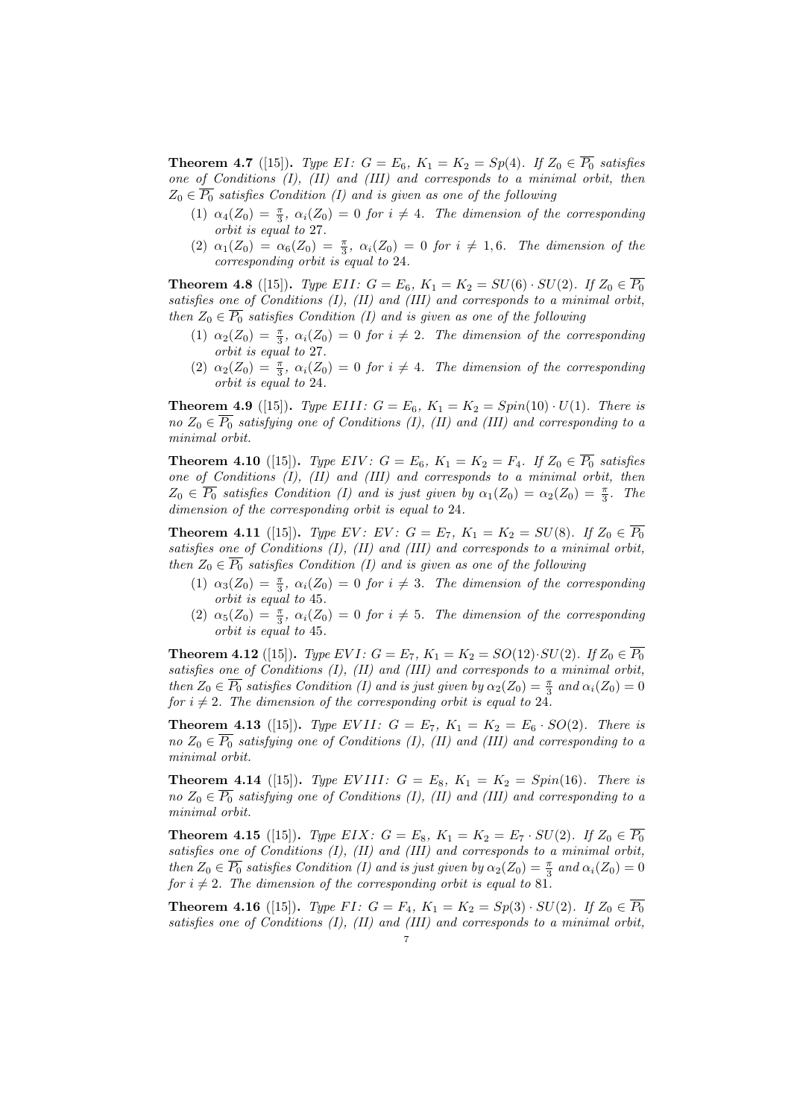**Theorem 4.7** ([15]). *Type EI*:  $G = E_6$ ,  $K_1 = K_2 = Sp(4)$ *. If*  $Z_0 \in \overline{P_0}$  *satisfies one of Conditions (I), (II) and (III) and corresponds to a minimal orbit, then*  $Z_0 \in \overline{P_0}$  *satisfies Condition (I) and is given as one of the following* 

- (1)  $\alpha_4(Z_0) = \frac{\pi}{3}$ ,  $\alpha_i(Z_0) = 0$  *for*  $i \neq 4$ . The dimension of the corresponding *orbit is equal to* 27*.*
- $(2)$   $\alpha_1(Z_0) = \alpha_6(Z_0) = \frac{\pi}{3}, \ \alpha_i(Z_0) = 0 \ \text{for} \ i \neq 1, 6.$  The dimension of the *corresponding orbit is equal to* 24*.*

**Theorem 4.8** ([15]). *Type EII:*  $G = E_6$ ,  $K_1 = K_2 = SU(6) \cdot SU(2)$ . If  $Z_0 \in \overline{P_0}$ *satisfies one of Conditions (I), (II) and (III) and corresponds to a minimal orbit, then*  $Z_0 \n\t\in \overline{P_0}$  *satisfies Condition (I) and is given as one of the following* 

- (1)  $\alpha_2(Z_0) = \frac{\pi}{3}$ ,  $\alpha_i(Z_0) = 0$  *for*  $i \neq 2$ *. The dimension of the corresponding orbit is equal to* 27*.*
- (2)  $\alpha_2(Z_0) = \frac{\pi}{3}$ ,  $\alpha_i(Z_0) = 0$  *for*  $i \neq 4$ . The dimension of the corresponding *orbit is equal to* 24*.*

**Theorem 4.9** ([15]). *Type EIII:*  $G = E_6$ ,  $K_1 = K_2 = Spin(10) \cdot U(1)$ *. There is no*  $Z_0 \in \overline{P_0}$  *satisfying one of Conditions (I), (II) and (III) and corresponding to a minimal orbit.*

**Theorem 4.10** ([15]). *Type EIV*:  $G = E_6$ ,  $K_1 = K_2 = F_4$ . If  $Z_0 \in \overline{P_0}$  satisfies *one of Conditions (I), (II) and (III) and corresponds to a minimal orbit, then*  $Z_0 \in \overline{P_0}$  *satisfies Condition (I) and is just given by*  $\alpha_1(Z_0) = \alpha_2(Z_0) = \frac{\pi}{3}$ *. The dimension of the corresponding orbit is equal to* 24*.*

**Theorem 4.11** ([15]). *Type EV*: *EV*:  $G = E_7$ ,  $K_1 = K_2 = SU(8)$ . If  $Z_0 \in \overline{P_0}$ *satisfies one of Conditions (I), (II) and (III) and corresponds to a minimal orbit, then*  $Z_0 \in \overline{P_0}$  *satisfies Condition (I) and is given as one of the following* 

- (1)  $\alpha_3(Z_0) = \frac{\pi}{3}$ ,  $\alpha_i(Z_0) = 0$  *for*  $i \neq 3$ *. The dimension of the corresponding orbit is equal to* 45*.*
- (2)  $\alpha_5(Z_0) = \frac{\pi}{3}$ ,  $\alpha_i(Z_0) = 0$  *for*  $i \neq 5$ *. The dimension of the corresponding orbit is equal to* 45*.*

**Theorem 4.12** ([15]). *Type EVI*:  $G = E_7$ ,  $K_1 = K_2 = SO(12) \cdot SU(2)$ . If  $Z_0 \in \overline{P_0}$ *satisfies one of Conditions (I), (II) and (III) and corresponds to a minimal orbit, then*  $Z_0 \in \overline{P_0}$  *satisfies Condition (I) and is just given by*  $\alpha_2(Z_0) = \frac{\pi}{3}$  *and*  $\alpha_i(Z_0) = 0$ *for*  $i \neq 2$ *. The dimension of the corresponding orbit is equal to* 24*.* 

**Theorem 4.13** ([15]). *Type EVII:*  $G = E_7$ ,  $K_1 = K_2 = E_6 \cdot SO(2)$ *. There is no*  $Z_0 \in \overline{P_0}$  *satisfying one of Conditions (I), (II) and (III) and corresponding to a minimal orbit.*

**Theorem 4.14** ([15]). *Type EVIII:*  $G = E_8$ ,  $K_1 = K_2 = Spin(16)$ *. There is no*  $Z_0 \in \overline{P_0}$  *satisfying one of Conditions (I), (II) and (III) and corresponding to a minimal orbit.*

**Theorem 4.15** ([15]). *Type EIX*:  $G = E_8$ ,  $K_1 = K_2 = E_7 \cdot SU(2)$ . If  $Z_0 \in \overline{P_0}$ *satisfies one of Conditions (I), (II) and (III) and corresponds to a minimal orbit, then*  $Z_0 \in \overline{P_0}$  *satisfies Condition (I) and is just given by*  $\alpha_2(Z_0) = \frac{\pi}{3}$  *and*  $\alpha_i(Z_0) = 0$ *for*  $i \neq 2$ *. The dimension of the corresponding orbit is equal to* 81*.* 

**Theorem 4.16** ([15]). *Type FI*:  $G = F_4$ ,  $K_1 = K_2 = Sp(3) \cdot SU(2)$ *. If*  $Z_0 \in \overline{P_0}$ *satisfies one of Conditions (I), (II) and (III) and corresponds to a minimal orbit,*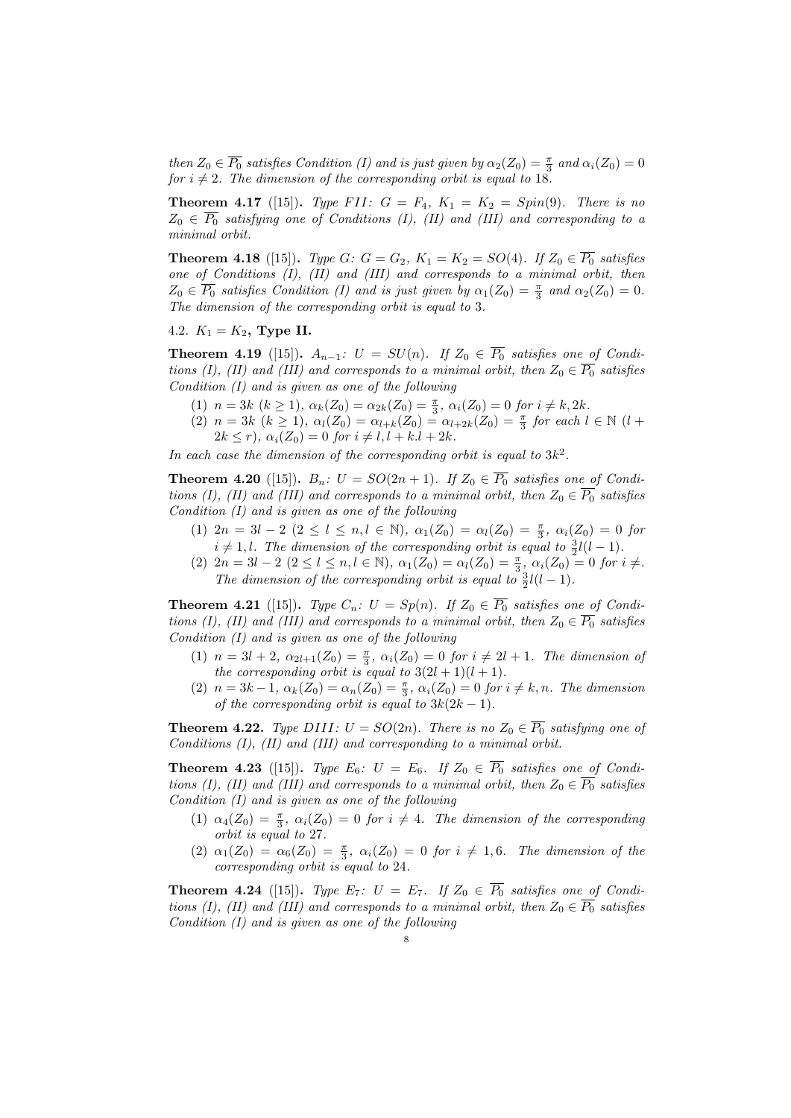*then*  $Z_0 \in \overline{P_0}$  *satisfies Condition (I) and is just given by*  $\alpha_2(Z_0) = \frac{\pi}{3}$  *and*  $\alpha_i(Z_0) = 0$ *for*  $i \neq 2$ *. The dimension of the corresponding orbit is equal to* 18*.* 

**Theorem 4.17** ([15]). *Type FII:*  $G = F_4$ ,  $K_1 = K_2 = Spin(9)$ *. There is no*  $Z_0 \n\in \overline{P_0}$  *satisfying one of Conditions (I), (II) and (III) and corresponding to a minimal orbit.*

**Theorem 4.18** ([15]). *Type G:*  $G = G_2$ ,  $K_1 = K_2 = SO(4)$ *. If*  $Z_0 \in \overline{P_0}$  *satisfies one of Conditions (I), (II) and (III) and corresponds to a minimal orbit, then*  $Z_0 \in \overline{P_0}$  *satisfies Condition (I) and is just given by*  $\alpha_1(Z_0) = \frac{\pi}{3}$  *and*  $\alpha_2(Z_0) = 0$ *. The dimension of the corresponding orbit is equal to* 3*.*

4.2.  $K_1 = K_2$ , **Type II.** 

**Theorem 4.19** ([15]).  $A_{n-1}: U = SU(n)$ . If  $Z_0 \in \overline{P_0}$  satisfies one of Condi*tions (I), (II) and (III) and corresponds to a minimal orbit, then*  $Z_0 \n\t\in \overline{P_0}$  *satisfies Condition (I) and is given as one of the following*

- (1)  $n = 3k$   $(k \ge 1)$ ,  $\alpha_k(Z_0) = \alpha_{2k}(Z_0) = \frac{\pi}{3}$ ,  $\alpha_i(Z_0) = 0$  for  $i \ne k, 2k$ .
- $(2)$   $n = 3k$   $(k \ge 1)$ ,  $\alpha_l(Z_0) = \alpha_{l+k}(Z_0) = \alpha_{l+2k}(Z_0) = \frac{\pi}{3}$  for each  $l \in \mathbb{N}$   $(l +$  $2k \leq r$ ,  $\alpha_i(Z_0) = 0$  *for*  $i \neq l, l + k, l + 2k$ .

In each case the dimension of the corresponding orbit is equal to  $3k^2$ .

**Theorem 4.20** ([15]).  $B_n$ :  $U = SO(2n + 1)$ . If  $Z_0 \in \overline{P_0}$  satisfies one of Condi*tions (I), (II) and (III) and corresponds to a minimal orbit, then*  $Z_0 \in \overline{P_0}$  *satisfies Condition (I) and is given as one of the following*

- (1)  $2n = 3l 2$   $(2 \le l \le n, l \in \mathbb{N})$ ,  $\alpha_1(Z_0) = \alpha_l(Z_0) = \frac{\pi}{3}$ ,  $\alpha_i(Z_0) = 0$  for  $i \neq 1, l$ *. The dimension of the corresponding orbit is equal to*  $\frac{3}{2}l(l-1)$ *.*
- (2)  $2n = 3l 2$   $(2 \le l \le n, l \in \mathbb{N})$ ,  $\alpha_1(Z_0) = \alpha_l(Z_0) = \frac{\pi}{3}$ ,  $\alpha_i(Z_0) = 0$  for  $i \neq l$ . *The dimension of the corresponding orbit is equal to*  $\frac{3}{2}l(l-1)$ *.*

**Theorem 4.21** ([15]). *Type*  $C_n$ :  $U = Sp(n)$ . If  $Z_0 \in \overline{P_0}$  satisfies one of Condi*tions (I), (II) and (III) and corresponds to a minimal orbit, then*  $Z_0 \n\t\in \overline{P_0}$  *satisfies Condition (I) and is given as one of the following*

- $(1)$   $n = 3l + 2$ ,  $\alpha_{2l+1}(Z_0) = \frac{\pi}{3}$ ,  $\alpha_i(Z_0) = 0$  for  $i \neq 2l + 1$ . The dimension of *the corresponding orbit is equal to*  $3(2l + 1)(l + 1)$ *.*
- $(2)$   $n = 3k 1, \ \alpha_k(Z_0) = \alpha_n(Z_0) = \frac{\pi}{3}, \ \alpha_i(Z_0) = 0 \ \text{for} \ i \neq k, n.$  The dimension *of the corresponding orbit is equal to*  $3k(2k-1)$ *.*

**Theorem 4.22.** *Type DIII:*  $U = SO(2n)$ *. There is no*  $Z_0 \in \overline{P_0}$  *satisfying one of Conditions (I), (II) and (III) and corresponding to a minimal orbit.*

**Theorem 4.23** ([15]). *Type*  $E_6$ :  $U = E_6$ . If  $Z_0 \in \overline{P_0}$  satisfies one of Condi*tions (I), (II) and (III) and corresponds to a minimal orbit, then*  $Z_0 \n\t\in \overline{P_0}$  *satisfies Condition (I) and is given as one of the following*

- (1)  $\alpha_4(Z_0) = \frac{\pi}{3}$ ,  $\alpha_i(Z_0) = 0$  *for*  $i \neq 4$ . The dimension of the corresponding *orbit is equal to* 27*.*
- $(2)$   $\alpha_1(Z_0) = \alpha_6(Z_0) = \frac{\pi}{3}, \ \alpha_i(Z_0) = 0 \ \text{for} \ i \neq 1, 6.$  The dimension of the *corresponding orbit is equal to* 24*.*

**Theorem 4.24** ([15]). *Type*  $E_7$ :  $U = E_7$ . *If*  $Z_0 \in \overline{P_0}$  *satisfies one of Conditions (I), (II) and (III) and corresponds to a minimal orbit, then*  $Z_0 \n\t\in \overline{P_0}$  *satisfies Condition (I) and is given as one of the following*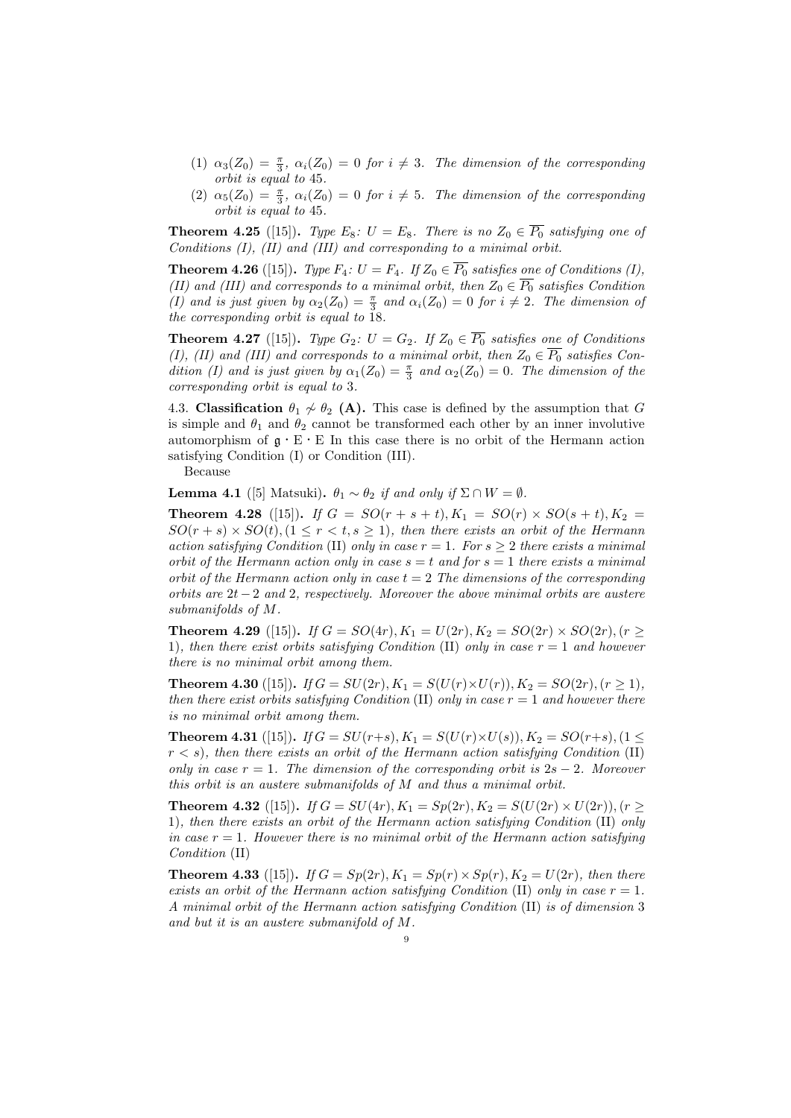- (1)  $\alpha_3(Z_0) = \frac{\pi}{3}$ ,  $\alpha_i(Z_0) = 0$  *for*  $i \neq 3$ *. The dimension of the corresponding orbit is equal to* 45*.*
- (2)  $\alpha_5(Z_0) = \frac{\pi}{3}$ ,  $\alpha_i(Z_0) = 0$  *for*  $i \neq 5$ *. The dimension of the corresponding orbit is equal to* 45*.*

**Theorem 4.25** ([15]). *Type*  $E_8$ :  $U = E_8$ . *There is no*  $Z_0 \in \overline{P_0}$  *satisfying one of Conditions (I), (II) and (III) and corresponding to a minimal orbit.*

**Theorem 4.26** ([15]). *Type*  $F_4$ :  $U = F_4$ . If  $Z_0 \in \overline{P_0}$  satisfies one of Conditions (I), *(II) and (III) and corresponds to a minimal orbit, then*  $Z_0 \n\t\in \overline{P_0}$  *satisfies Condition (I)* and is just given by  $\alpha_2(Z_0) = \frac{\pi}{3}$  and  $\alpha_i(Z_0) = 0$  for  $i \neq 2$ . The dimension of *the corresponding orbit is equal to* 18*.*

**Theorem 4.27** ([15]). *Type*  $G_2$ :  $U = G_2$ . If  $Z_0 \in \overline{P_0}$  satisfies one of Conditions *(I), (II) and (III) and corresponds to a minimal orbit, then*  $Z_0 \n\t\in \overline{P_0}$  *satisfies Condition (I) and is just given by*  $\alpha_1(Z_0) = \frac{\pi}{3}$  and  $\alpha_2(Z_0) = 0$ . The dimension of the *corresponding orbit is equal to* 3*.*

4.3. **Classification**  $\theta_1 \nsim \theta_2$  (A). This case is defined by the assumption that *G* is simple and  $\theta_1$  and  $\theta_2$  cannot be transformed each other by an inner involutive automorphism of  $\mathfrak{g} \cdot E \cdot E$  In this case there is no orbit of the Hermann action satisfying Condition (I) or Condition (III).

Because

**Lemma 4.1** ([5] Matsuki).  $\theta_1 \sim \theta_2$  *if and only if*  $\Sigma \cap W = \emptyset$ *.* 

**Theorem 4.28** ([15]). *If*  $G = SO(r + s + t)$ ,  $K_1 = SO(r) \times SO(s + t)$ ,  $K_2 =$  $SO(r + s) \times SO(t)$ ,  $(1 \leq r < t, s \geq 1)$ *, then there exists an orbit of the Hermann action satisfying Condition* (II) *only in case*  $r = 1$ *. For*  $s \geq 2$  *there exists a minimal orbit of the Hermann action only in case*  $s = t$  *and for*  $s = 1$  *there exists a minimal orbit of the Hermann action only in case t* = 2 *The dimensions of the corresponding orbits are* 2*t −* 2 *and* 2*, respectively. Moreover the above minimal orbits are austere submanifolds of M.*

**Theorem 4.29** ([15]). *If*  $G = SO(4r)$ ,  $K_1 = U(2r)$ ,  $K_2 = SO(2r) \times SO(2r)$ ,  $(r \geq$ 1)*, then there exist orbits satisfying Condition* (II) *only in case r* = 1 *and however there is no minimal orbit among them.*

**Theorem 4.30** ([15]). *If*  $G = SU(2r)$ ,  $K_1 = S(U(r) \times U(r))$ ,  $K_2 = SO(2r)$ ,  $(r \ge 1)$ , *then there exist orbits satisfying Condition* (II) *only in case r* = 1 *and however there is no minimal orbit among them.*

**Theorem 4.31** ([15]). *If*  $G = SU(r+s), K_1 = S(U(r) \times U(s)), K_2 = SO(r+s), (1 \leq$ *r < s*)*, then there exists an orbit of the Hermann action satisfying Condition* (II) *only in case*  $r = 1$ *. The dimension of the corresponding orbit is*  $2s - 2$ *. Moreover this orbit is an austere submanifolds of M and thus a minimal orbit.*

**Theorem 4.32** ([15]). *If*  $G = SU(4r)$ ,  $K_1 = Sp(2r)$ ,  $K_2 = S(U(2r) \times U(2r))$ ,  $(r \geq$ 1)*, then there exists an orbit of the Hermann action satisfying Condition* (II) *only in case*  $r = 1$ *. However there is no minimal orbit of the Hermann action satisfying Condition* (II)

**Theorem 4.33** ([15]). *If*  $G = Sp(2r)$ ,  $K_1 = Sp(r) \times Sp(r)$ ,  $K_2 = U(2r)$ , then there *exists an orbit of the Hermann action satisfying Condition* (II) *only in case*  $r = 1$ *. A minimal orbit of the Hermann action satisfying Condition* (II) *is of dimension* 3 *and but it is an austere submanifold of M.*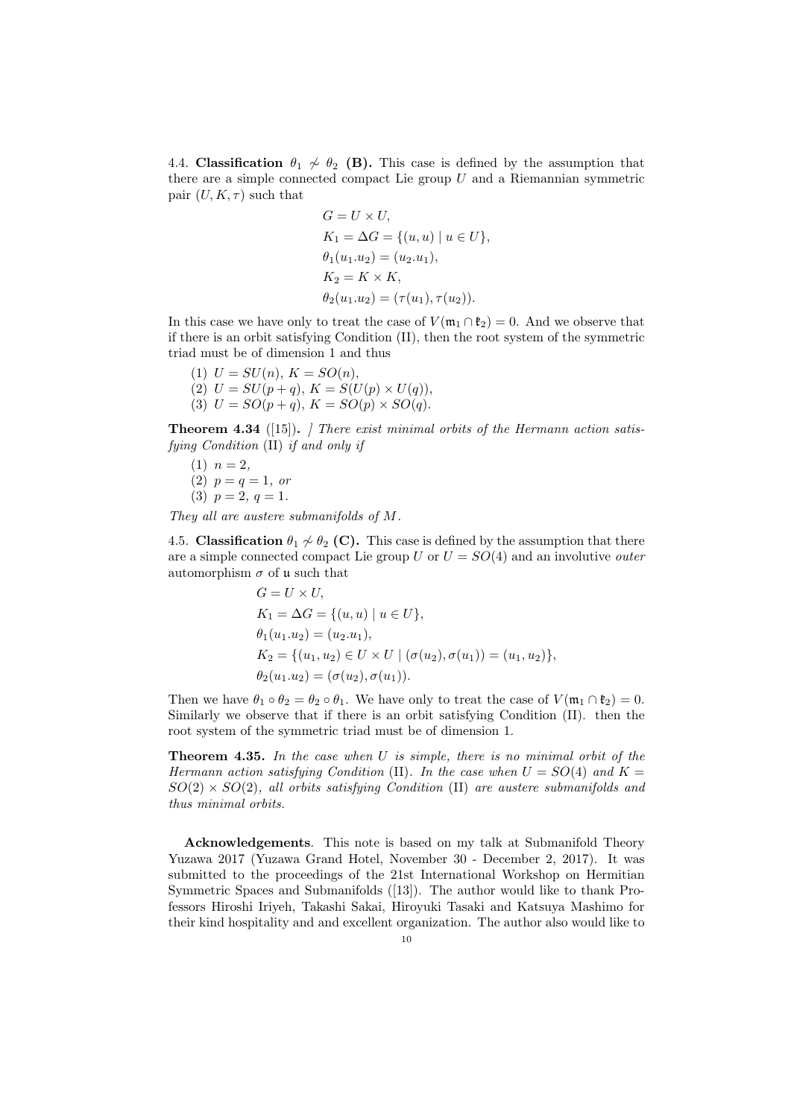4.4. **Classification**  $\theta_1 \nsim \theta_2$  (B). This case is defined by the assumption that there are a simple connected compact Lie group *U* and a Riemannian symmetric pair  $(U, K, \tau)$  such that

$$
G = U \times U,
$$
  
\n
$$
K_1 = \Delta G = \{(u, u) \mid u \in U\},
$$
  
\n
$$
\theta_1(u_1.u_2) = (u_2.u_1),
$$
  
\n
$$
K_2 = K \times K,
$$
  
\n
$$
\theta_2(u_1.u_2) = (\tau(u_1), \tau(u_2)).
$$

In this case we have only to treat the case of  $V(\mathfrak{m}_1 \cap \mathfrak{k}_2) = 0$ . And we observe that if there is an orbit satisfying Condition (II), then the root system of the symmetric triad must be of dimension 1 and thus

- (1)  $U = SU(n), K = SO(n),$
- (2)  $U = SU(p+q), K = S(U(p) \times U(q)),$ (3)  $U = SO(p+q), K = SO(p) \times SO(q).$

**Theorem 4.34** ([15])**.** *] There exist minimal orbits of the Hermann action satisfying Condition* (II) *if and only if*

(1) 
$$
n = 2
$$
,  
(2)  $p = q = 1$ , or  
(3)  $p = 2$ ,  $q = 1$ .

*They all are austere submanifolds of M.*

4.5. **Classification**  $\theta_1 \nsim \theta_2$  (**C**). This case is defined by the assumption that there are a simple connected compact Lie group *U* or *U* = *SO*(4) and an involutive *outer* automorphism  $\sigma$  of u such that

$$
G = U \times U,
$$
  
\n
$$
K_1 = \Delta G = \{(u, u) \mid u \in U\},
$$
  
\n
$$
\theta_1(u_1.u_2) = (u_2.u_1),
$$
  
\n
$$
K_2 = \{(u_1, u_2) \in U \times U \mid (\sigma(u_2), \sigma(u_1)) = (u_1, u_2)\},
$$
  
\n
$$
\theta_2(u_1.u_2) = (\sigma(u_2), \sigma(u_1)).
$$

Then we have  $\theta_1 \circ \theta_2 = \theta_2 \circ \theta_1$ . We have only to treat the case of  $V(\mathfrak{m}_1 \cap \mathfrak{k}_2) = 0$ . Similarly we observe that if there is an orbit satisfying Condition (II). then the root system of the symmetric triad must be of dimension 1.

**Theorem 4.35.** *In the case when U is simple, there is no minimal orbit of the Hermann action satisfying Condition* (II). In the case when  $U = SO(4)$  and  $K =$ *SO*(2) *× SO*(2)*, all orbits satisfying Condition* (II) *are austere submanifolds and thus minimal orbits.*

**Acknowledgements**. This note is based on my talk at Submanifold Theory Yuzawa 2017 (Yuzawa Grand Hotel, November 30 - December 2, 2017). It was submitted to the proceedings of the 21st International Workshop on Hermitian Symmetric Spaces and Submanifolds ([13]). The author would like to thank Professors Hiroshi Iriyeh, Takashi Sakai, Hiroyuki Tasaki and Katsuya Mashimo for their kind hospitality and and excellent organization. The author also would like to